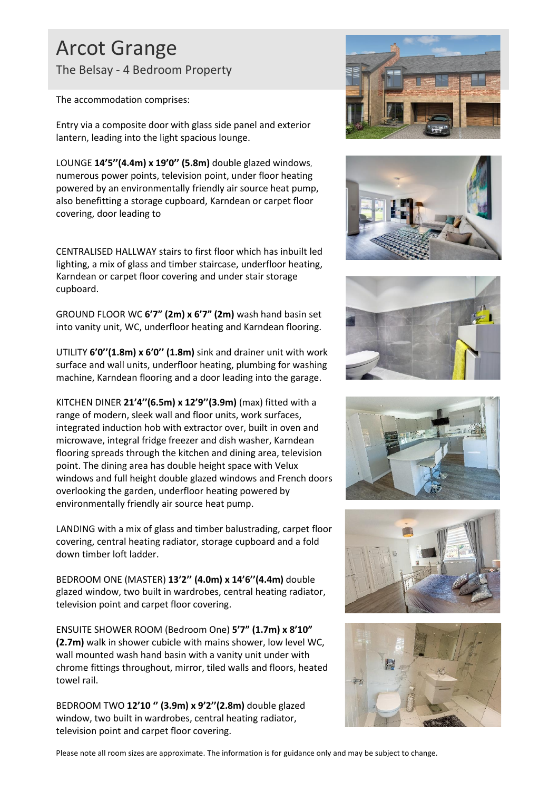## Arcot Grange The Belsay - 4 Bedroom Property

The accommodation comprises:

Entry via a composite door with glass side panel and exterior lantern, leading into the light spacious lounge.

LOUNGE **14'5''(4.4m) x 19'0'' (5.8m)** double glazed windows, numerous power points, television point, under floor heating powered by an environmentally friendly air source heat pump, also benefitting a storage cupboard, Karndean or carpet floor covering, door leading to

CENTRALISED HALLWAY stairs to first floor which has inbuilt led lighting, a mix of glass and timber staircase, underfloor heating, Karndean or carpet floor covering and under stair storage cupboard.

GROUND FLOOR WC **6'7" (2m) x 6'7" (2m)** wash hand basin set into vanity unit, WC, underfloor heating and Karndean flooring.

UTILITY **6'0''(1.8m) x 6'0'' (1.8m)** sink and drainer unit with work surface and wall units, underfloor heating, plumbing for washing machine, Karndean flooring and a door leading into the garage.

KITCHEN DINER **21'4''(6.5m) x 12'9''(3.9m)** (max) fitted with a range of modern, sleek wall and floor units, work surfaces, integrated induction hob with extractor over, built in oven and microwave, integral fridge freezer and dish washer, Karndean flooring spreads through the kitchen and dining area, television point. The dining area has double height space with Velux windows and full height double glazed windows and French doors overlooking the garden, underfloor heating powered by environmentally friendly air source heat pump.

LANDING with a mix of glass and timber balustrading, carpet floor covering, central heating radiator, storage cupboard and a fold down timber loft ladder.

BEDROOM ONE (MASTER) **13'2'' (4.0m) x 14'6''(4.4m)** double glazed window, two built in wardrobes, central heating radiator, television point and carpet floor covering.

ENSUITE SHOWER ROOM (Bedroom One) **5'7" (1.7m) x 8'10" (2.7m)** walk in shower cubicle with mains shower, low level WC, wall mounted wash hand basin with a vanity unit under with chrome fittings throughout, mirror, tiled walls and floors, heated towel rail.

BEDROOM TWO **12'10 '' (3.9m) x 9'2''(2.8m)** double glazed window, two built in wardrobes, central heating radiator, television point and carpet floor covering.













Please note all room sizes are approximate. The information is for guidance only and may be subject to change.